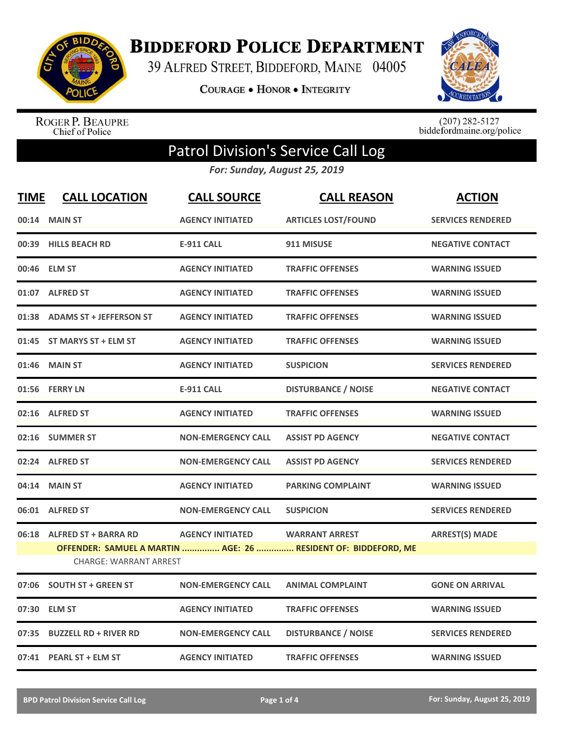

**BIDDEFORD POLICE DEPARTMENT** 

39 ALFRED STREET, BIDDEFORD, MAINE 04005

**COURAGE . HONOR . INTEGRITY** 



ROGER P. BEAUPRE<br>Chief of Police

 $(207)$  282-5127<br>biddefordmaine.org/police

## Patrol Division's Service Call Log

*For: Sunday, August 25, 2019*

| <b>TIME</b> | <b>CALL LOCATION</b>          | <b>CALL SOURCE</b>        | <b>CALL REASON</b>                                                                      | <b>ACTION</b>            |
|-------------|-------------------------------|---------------------------|-----------------------------------------------------------------------------------------|--------------------------|
| 00:14       | <b>MAIN ST</b>                | <b>AGENCY INITIATED</b>   | <b>ARTICLES LOST/FOUND</b>                                                              | <b>SERVICES RENDERED</b> |
| 00:39       | <b>HILLS BEACH RD</b>         | <b>E-911 CALL</b>         | 911 MISUSE                                                                              | <b>NEGATIVE CONTACT</b>  |
|             | 00:46 ELM ST                  | <b>AGENCY INITIATED</b>   | <b>TRAFFIC OFFENSES</b>                                                                 | <b>WARNING ISSUED</b>    |
|             | 01:07 ALFRED ST               | <b>AGENCY INITIATED</b>   | <b>TRAFFIC OFFENSES</b>                                                                 | <b>WARNING ISSUED</b>    |
|             | 01:38 ADAMS ST + JEFFERSON ST | <b>AGENCY INITIATED</b>   | <b>TRAFFIC OFFENSES</b>                                                                 | <b>WARNING ISSUED</b>    |
|             | 01:45 ST MARYS ST + ELM ST    | <b>AGENCY INITIATED</b>   | <b>TRAFFIC OFFENSES</b>                                                                 | <b>WARNING ISSUED</b>    |
| 01:46       | <b>MAIN ST</b>                | <b>AGENCY INITIATED</b>   | <b>SUSPICION</b>                                                                        | <b>SERVICES RENDERED</b> |
|             | 01:56 FERRY LN                | <b>E-911 CALL</b>         | <b>DISTURBANCE / NOISE</b>                                                              | <b>NEGATIVE CONTACT</b>  |
|             | 02:16 ALFRED ST               | <b>AGENCY INITIATED</b>   | <b>TRAFFIC OFFENSES</b>                                                                 | <b>WARNING ISSUED</b>    |
| 02:16       | <b>SUMMER ST</b>              | <b>NON-EMERGENCY CALL</b> | <b>ASSIST PD AGENCY</b>                                                                 | <b>NEGATIVE CONTACT</b>  |
|             | 02:24 ALFRED ST               | <b>NON-EMERGENCY CALL</b> | <b>ASSIST PD AGENCY</b>                                                                 | <b>SERVICES RENDERED</b> |
| 04:14       | <b>MAIN ST</b>                | <b>AGENCY INITIATED</b>   | <b>PARKING COMPLAINT</b>                                                                | <b>WARNING ISSUED</b>    |
|             | 06:01 ALFRED ST               | <b>NON-EMERGENCY CALL</b> | <b>SUSPICION</b>                                                                        | <b>SERVICES RENDERED</b> |
| 06:18       | <b>ALFRED ST + BARRA RD</b>   | <b>AGENCY INITIATED</b>   | <b>WARRANT ARREST</b><br>OFFENDER: SAMUEL A MARTIN  AGE: 26  RESIDENT OF: BIDDEFORD, ME | <b>ARREST(S) MADE</b>    |
|             | <b>CHARGE: WARRANT ARREST</b> |                           |                                                                                         |                          |
| 07:06       | <b>SOUTH ST + GREEN ST</b>    | <b>NON-EMERGENCY CALL</b> | <b>ANIMAL COMPLAINT</b>                                                                 | <b>GONE ON ARRIVAL</b>   |
| 07:30       | <b>ELM ST</b>                 | <b>AGENCY INITIATED</b>   | <b>TRAFFIC OFFENSES</b>                                                                 | <b>WARNING ISSUED</b>    |
| 07:35       | <b>BUZZELL RD + RIVER RD</b>  | <b>NON-EMERGENCY CALL</b> | <b>DISTURBANCE / NOISE</b>                                                              | <b>SERVICES RENDERED</b> |
|             | 07:41 PEARL ST + ELM ST       | <b>AGENCY INITIATED</b>   | <b>TRAFFIC OFFENSES</b>                                                                 | <b>WARNING ISSUED</b>    |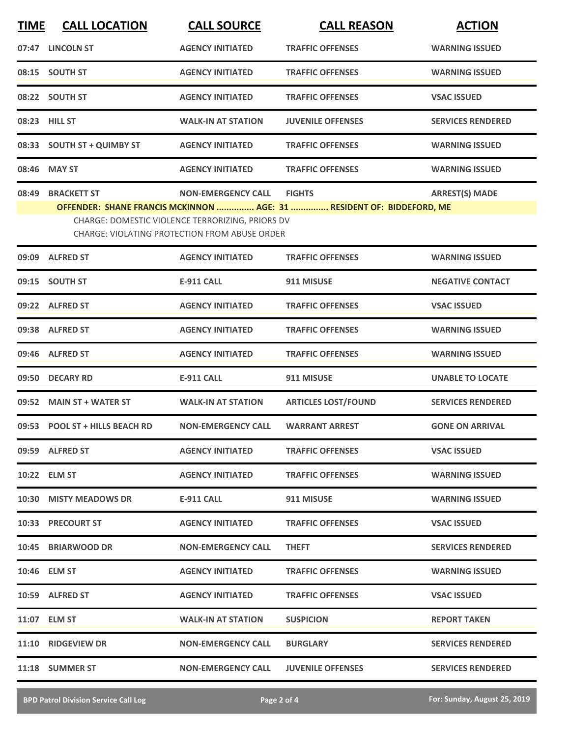| <b>TIME</b> | <b>CALL LOCATION</b>                                                                                                                                                       | <b>CALL SOURCE</b>        | <b>CALL REASON</b>         | <b>ACTION</b>            |  |  |
|-------------|----------------------------------------------------------------------------------------------------------------------------------------------------------------------------|---------------------------|----------------------------|--------------------------|--|--|
|             | 07:47 LINCOLN ST                                                                                                                                                           | <b>AGENCY INITIATED</b>   | <b>TRAFFIC OFFENSES</b>    | <b>WARNING ISSUED</b>    |  |  |
|             | 08:15 SOUTH ST                                                                                                                                                             | <b>AGENCY INITIATED</b>   | <b>TRAFFIC OFFENSES</b>    | <b>WARNING ISSUED</b>    |  |  |
|             | 08:22 SOUTH ST                                                                                                                                                             | <b>AGENCY INITIATED</b>   | <b>TRAFFIC OFFENSES</b>    | <b>VSAC ISSUED</b>       |  |  |
|             | 08:23 HILL ST                                                                                                                                                              | <b>WALK-IN AT STATION</b> | <b>JUVENILE OFFENSES</b>   | <b>SERVICES RENDERED</b> |  |  |
|             | 08:33 SOUTH ST + QUIMBY ST                                                                                                                                                 | <b>AGENCY INITIATED</b>   | <b>TRAFFIC OFFENSES</b>    | <b>WARNING ISSUED</b>    |  |  |
|             | 08:46 MAY ST                                                                                                                                                               | <b>AGENCY INITIATED</b>   | <b>TRAFFIC OFFENSES</b>    | <b>WARNING ISSUED</b>    |  |  |
| 08:49       | <b>BRACKETT ST</b>                                                                                                                                                         | <b>NON-EMERGENCY CALL</b> | <b>FIGHTS</b>              | <b>ARREST(S) MADE</b>    |  |  |
|             | OFFENDER: SHANE FRANCIS MCKINNON  AGE: 31  RESIDENT OF: BIDDEFORD, ME<br>CHARGE: DOMESTIC VIOLENCE TERRORIZING, PRIORS DV<br>CHARGE: VIOLATING PROTECTION FROM ABUSE ORDER |                           |                            |                          |  |  |
|             | 09:09 ALFRED ST                                                                                                                                                            | <b>AGENCY INITIATED</b>   | <b>TRAFFIC OFFENSES</b>    | <b>WARNING ISSUED</b>    |  |  |
|             | 09:15 SOUTH ST                                                                                                                                                             | <b>E-911 CALL</b>         | 911 MISUSE                 | <b>NEGATIVE CONTACT</b>  |  |  |
|             | 09:22 ALFRED ST                                                                                                                                                            | <b>AGENCY INITIATED</b>   | <b>TRAFFIC OFFENSES</b>    | <b>VSAC ISSUED</b>       |  |  |
|             | 09:38 ALFRED ST                                                                                                                                                            | <b>AGENCY INITIATED</b>   | <b>TRAFFIC OFFENSES</b>    | <b>WARNING ISSUED</b>    |  |  |
|             | 09:46 ALFRED ST                                                                                                                                                            | <b>AGENCY INITIATED</b>   | <b>TRAFFIC OFFENSES</b>    | <b>WARNING ISSUED</b>    |  |  |
|             | 09:50 DECARY RD                                                                                                                                                            | <b>E-911 CALL</b>         | 911 MISUSE                 | <b>UNABLE TO LOCATE</b>  |  |  |
|             | 09:52 MAIN ST + WATER ST                                                                                                                                                   | <b>WALK-IN AT STATION</b> | <b>ARTICLES LOST/FOUND</b> | <b>SERVICES RENDERED</b> |  |  |
|             | 09:53 POOL ST + HILLS BEACH RD                                                                                                                                             | <b>NON-EMERGENCY CALL</b> | <b>WARRANT ARREST</b>      | <b>GONE ON ARRIVAL</b>   |  |  |
|             | 09:59 ALFRED ST                                                                                                                                                            | <b>AGENCY INITIATED</b>   | <b>TRAFFIC OFFENSES</b>    | <b>VSAC ISSUED</b>       |  |  |
|             | 10:22 ELM ST                                                                                                                                                               | <b>AGENCY INITIATED</b>   | <b>TRAFFIC OFFENSES</b>    | <b>WARNING ISSUED</b>    |  |  |
|             | 10:30 MISTY MEADOWS DR                                                                                                                                                     | E-911 CALL                | 911 MISUSE                 | <b>WARNING ISSUED</b>    |  |  |
|             | 10:33 PRECOURT ST                                                                                                                                                          | <b>AGENCY INITIATED</b>   | <b>TRAFFIC OFFENSES</b>    | <b>VSAC ISSUED</b>       |  |  |
|             | 10:45 BRIARWOOD DR                                                                                                                                                         | <b>NON-EMERGENCY CALL</b> | <b>THEFT</b>               | <b>SERVICES RENDERED</b> |  |  |
|             | 10:46 ELM ST                                                                                                                                                               | <b>AGENCY INITIATED</b>   | <b>TRAFFIC OFFENSES</b>    | <b>WARNING ISSUED</b>    |  |  |
|             | 10:59 ALFRED ST                                                                                                                                                            | <b>AGENCY INITIATED</b>   | <b>TRAFFIC OFFENSES</b>    | <b>VSAC ISSUED</b>       |  |  |
|             | 11:07 ELM ST                                                                                                                                                               | <b>WALK-IN AT STATION</b> | <b>SUSPICION</b>           | <b>REPORT TAKEN</b>      |  |  |
|             | 11:10 RIDGEVIEW DR                                                                                                                                                         | <b>NON-EMERGENCY CALL</b> | <b>BURGLARY</b>            | <b>SERVICES RENDERED</b> |  |  |
|             | 11:18 SUMMER ST                                                                                                                                                            | <b>NON-EMERGENCY CALL</b> | <b>JUVENILE OFFENSES</b>   | <b>SERVICES RENDERED</b> |  |  |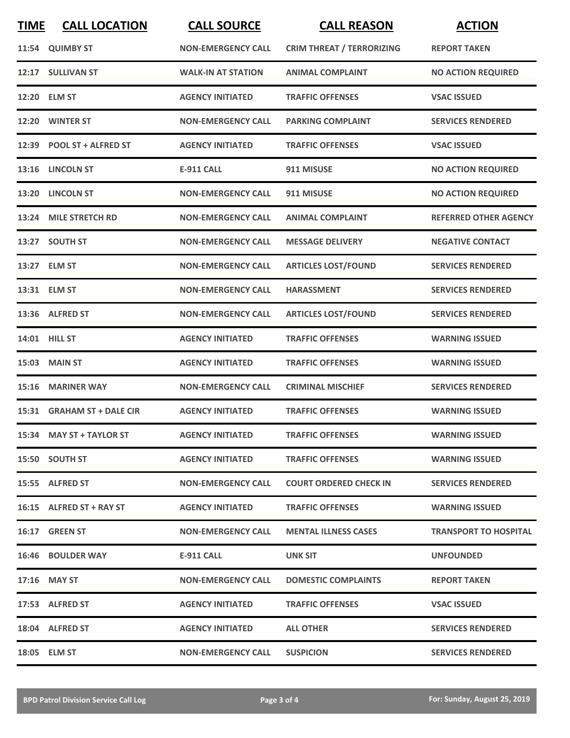| <b>TIME</b> | <b>CALL LOCATION</b>       | <b>CALL SOURCE</b>        | <b>CALL REASON</b>               | <b>ACTION</b>                |
|-------------|----------------------------|---------------------------|----------------------------------|------------------------------|
|             | 11:54 QUIMBY ST            | <b>NON-EMERGENCY CALL</b> | <b>CRIM THREAT / TERRORIZING</b> | <b>REPORT TAKEN</b>          |
|             | 12:17 SULLIVAN ST          | <b>WALK-IN AT STATION</b> | <b>ANIMAL COMPLAINT</b>          | <b>NO ACTION REQUIRED</b>    |
|             | 12:20 ELM ST               | <b>AGENCY INITIATED</b>   | <b>TRAFFIC OFFENSES</b>          | <b>VSAC ISSUED</b>           |
|             | 12:20 WINTER ST            | <b>NON-EMERGENCY CALL</b> | <b>PARKING COMPLAINT</b>         | <b>SERVICES RENDERED</b>     |
|             | 12:39 POOL ST + ALFRED ST  | <b>AGENCY INITIATED</b>   | <b>TRAFFIC OFFENSES</b>          | <b>VSAC ISSUED</b>           |
|             | 13:16 LINCOLN ST           | <b>E-911 CALL</b>         | 911 MISUSE                       | <b>NO ACTION REQUIRED</b>    |
|             | 13:20 LINCOLN ST           | <b>NON-EMERGENCY CALL</b> | 911 MISUSE                       | <b>NO ACTION REQUIRED</b>    |
|             | 13:24 MILE STRETCH RD      | <b>NON-EMERGENCY CALL</b> | <b>ANIMAL COMPLAINT</b>          | <b>REFERRED OTHER AGENCY</b> |
|             | 13:27 SOUTH ST             | <b>NON-EMERGENCY CALL</b> | <b>MESSAGE DELIVERY</b>          | <b>NEGATIVE CONTACT</b>      |
|             | 13:27 ELM ST               | <b>NON-EMERGENCY CALL</b> | <b>ARTICLES LOST/FOUND</b>       | <b>SERVICES RENDERED</b>     |
|             | 13:31 ELM ST               | <b>NON-EMERGENCY CALL</b> | <b>HARASSMENT</b>                | <b>SERVICES RENDERED</b>     |
|             | 13:36 ALFRED ST            | <b>NON-EMERGENCY CALL</b> | <b>ARTICLES LOST/FOUND</b>       | <b>SERVICES RENDERED</b>     |
|             | 14:01 HILL ST              | <b>AGENCY INITIATED</b>   | <b>TRAFFIC OFFENSES</b>          | <b>WARNING ISSUED</b>        |
|             | <b>15:03 MAIN ST</b>       | <b>AGENCY INITIATED</b>   | <b>TRAFFIC OFFENSES</b>          | <b>WARNING ISSUED</b>        |
|             | 15:16 MARINER WAY          | <b>NON-EMERGENCY CALL</b> | <b>CRIMINAL MISCHIEF</b>         | <b>SERVICES RENDERED</b>     |
|             | 15:31 GRAHAM ST + DALE CIR | <b>AGENCY INITIATED</b>   | <b>TRAFFIC OFFENSES</b>          | <b>WARNING ISSUED</b>        |
|             | 15:34 MAY ST + TAYLOR ST   | <b>AGENCY INITIATED</b>   | <b>TRAFFIC OFFENSES</b>          | <b>WARNING ISSUED</b>        |
|             | 15:50 SOUTH ST             | <b>AGENCY INITIATED</b>   | <b>TRAFFIC OFFENSES</b>          | <b>WARNING ISSUED</b>        |
|             | 15:55 ALFRED ST            | <b>NON-EMERGENCY CALL</b> | <b>COURT ORDERED CHECK IN</b>    | <b>SERVICES RENDERED</b>     |
|             | 16:15 ALFRED ST + RAY ST   | <b>AGENCY INITIATED</b>   | <b>TRAFFIC OFFENSES</b>          | <b>WARNING ISSUED</b>        |
|             | 16:17 GREEN ST             | <b>NON-EMERGENCY CALL</b> | <b>MENTAL ILLNESS CASES</b>      | <b>TRANSPORT TO HOSPITAL</b> |
|             | <b>16:46 BOULDER WAY</b>   | E-911 CALL                | UNK SIT                          | <b>UNFOUNDED</b>             |
|             | $17:16$ MAY ST             | <b>NON-EMERGENCY CALL</b> | <b>DOMESTIC COMPLAINTS</b>       | <b>REPORT TAKEN</b>          |
|             | 17:53 ALFRED ST            | <b>AGENCY INITIATED</b>   | <b>TRAFFIC OFFENSES</b>          | <b>VSAC ISSUED</b>           |
|             | 18:04 ALFRED ST            | <b>AGENCY INITIATED</b>   | <b>ALL OTHER</b>                 | <b>SERVICES RENDERED</b>     |
|             | 18:05 ELM ST               | <b>NON-EMERGENCY CALL</b> | <b>SUSPICION</b>                 | <b>SERVICES RENDERED</b>     |